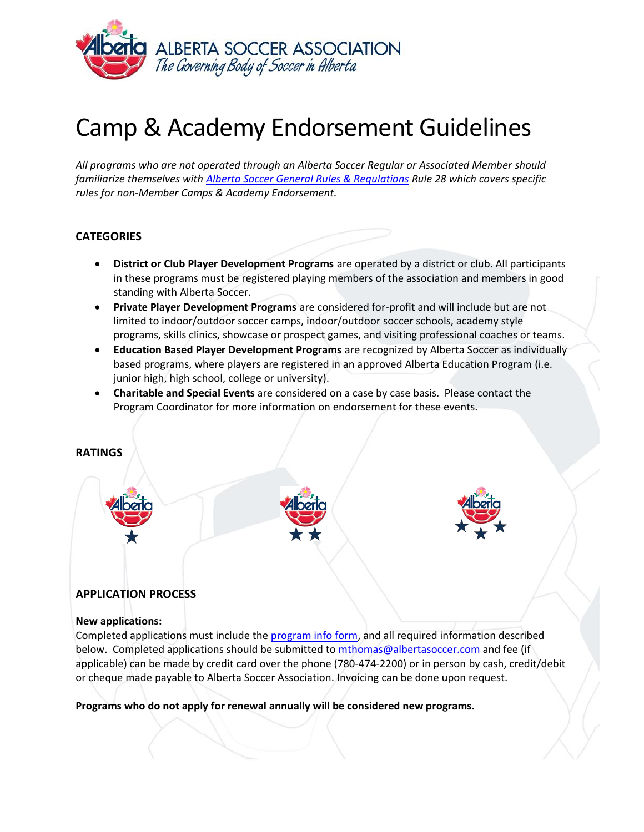

# Camp & Academy Endorsement Guidelines

*All programs who are not operated through an Alberta Soccer Regular or Associated Member should familiarize themselves with [Alberta Soccer General Rules & Regulations](https://albertasoccer.com/wp-content/uploads/2020/07/ASA-General-Rules-Regulations-Approved-February-24-2019.pdf) Rule 28 which covers specific rules for non-Member Camps & Academy Endorsement.*

# **CATEGORIES**

- **District or Club Player Development Programs** are operated by a district or club. All participants in these programs must be registered playing members of the association and members in good standing with Alberta Soccer.
- **Private Player Development Programs** are considered for-profit and will include but are not limited to indoor/outdoor soccer camps, indoor/outdoor soccer schools, academy style programs, skills clinics, showcase or prospect games, and visiting professional coaches or teams.
- **Education Based Player Development Programs** are recognized by Alberta Soccer as individually based programs, where players are registered in an approved Alberta Education Program (i.e. junior high, high school, college or university).
- **Charitable and Special Events** are considered on a case by case basis. Please contact the Program Coordinator for more information on endorsement for these events.



#### **New applications:**

Completed applications must include th[e program info form,](https://albertasoccer.com/player/endorsed-camps-and-academies/) and all required information described below. Completed applications should be submitted to mthomas[@albertasoccer.com](mailto:ccharron@albertasoccer.com) and fee (if applicable) can be made by credit card over the phone (780-474-2200) or in person by cash, credit/debit or cheque made payable to Alberta Soccer Association. Invoicing can be done upon request.

**Programs who do not apply for renewal annually will be considered new programs.**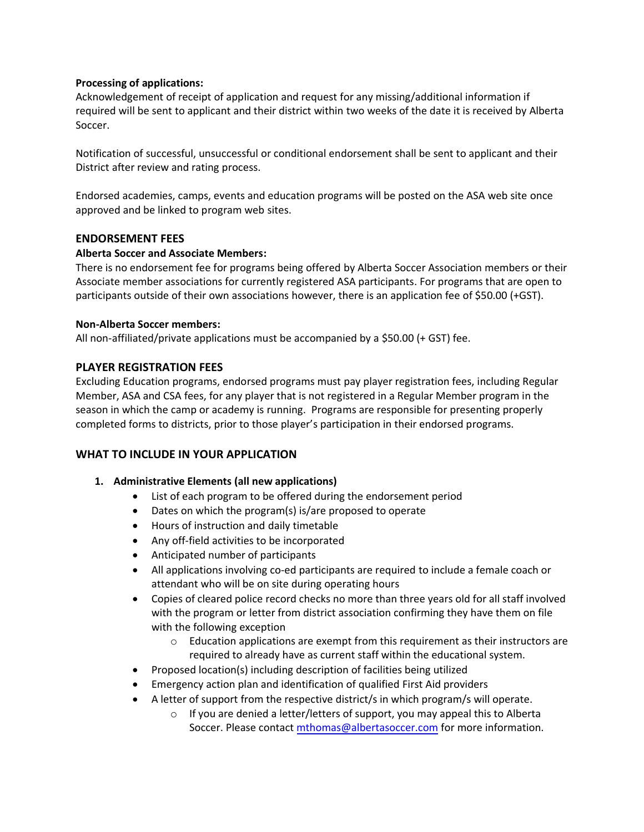#### **Processing of applications:**

Acknowledgement of receipt of application and request for any missing/additional information if required will be sent to applicant and their district within two weeks of the date it is received by Alberta Soccer.

Notification of successful, unsuccessful or conditional endorsement shall be sent to applicant and their District after review and rating process.

Endorsed academies, camps, events and education programs will be posted on the ASA web site once approved and be linked to program web sites.

#### **ENDORSEMENT FEES**

#### **Alberta Soccer and Associate Members:**

There is no endorsement fee for programs being offered by Alberta Soccer Association members or their Associate member associations for currently registered ASA participants. For programs that are open to participants outside of their own associations however, there is an application fee of \$50.00 (+GST).

#### **Non-Alberta Soccer members:**

All non-affiliated/private applications must be accompanied by a \$50.00 (+ GST) fee.

#### **PLAYER REGISTRATION FEES**

Excluding Education programs, endorsed programs must pay player registration fees, including Regular Member, ASA and CSA fees, for any player that is not registered in a Regular Member program in the season in which the camp or academy is running. Programs are responsible for presenting properly completed forms to districts, prior to those player's participation in their endorsed programs.

#### **WHAT TO INCLUDE IN YOUR APPLICATION**

- **1. Administrative Elements (all new applications)**
	- List of each program to be offered during the endorsement period
	- Dates on which the program(s) is/are proposed to operate
	- Hours of instruction and daily timetable
	- Any off-field activities to be incorporated
	- Anticipated number of participants
	- All applications involving co-ed participants are required to include a female coach or attendant who will be on site during operating hours
	- Copies of cleared police record checks no more than three years old for all staff involved with the program or letter from district association confirming they have them on file with the following exception
		- $\circ$  Education applications are exempt from this requirement as their instructors are required to already have as current staff within the educational system.
	- Proposed location(s) including description of facilities being utilized
	- Emergency action plan and identification of qualified First Aid providers
	- A letter of support from the respective district/s in which program/s will operate.
		- $\circ$  If you are denied a letter/letters of support, you may appeal this to Alberta Soccer. Please contact mthomas[@albertasoccer.com](mailto:ccharron@albertasoccer.com) for more information.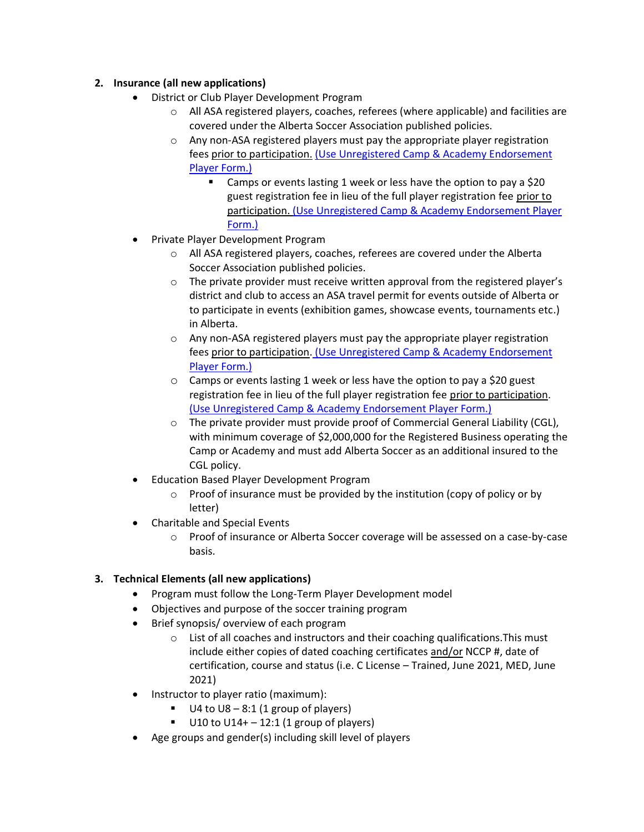#### **2. Insurance (all new applications)**

- District or Club Player Development Program
	- o All ASA registered players, coaches, referees (where applicable) and facilities are covered under the Alberta Soccer Association published policies.
	- $\circ$  Any non-ASA registered players must pay the appropriate player registration fees prior to participation. [\(Use Unregistered Camp & Academy Endorsement](https://albertasoccer.com/player/endorsed-camps-and-academies/) [Player Form.\)](https://albertasoccer.com/player/endorsed-camps-and-academies/)
		- Camps or events lasting 1 week or less have the option to pay a \$20 guest registration fee in lieu of the full player registration fee prior to participation. [\(Use Unregistered Camp & Academy Endorsement Player](https://albertasoccer.com/player/endorsed-camps-and-academies/) [Form.\)](https://albertasoccer.com/player/endorsed-camps-and-academies/)
- Private Player Development Program
	- o All ASA registered players, coaches, referees are covered under the Alberta Soccer Association published policies.
	- $\circ$  The private provider must receive written approval from the registered player's district and club to access an ASA travel permit for events outside of Alberta or to participate in events (exhibition games, showcase events, tournaments etc.) in Alberta.
	- o Any non-ASA registered players must pay the appropriate player registration fees prior to participation. [\(Use Unregistered Camp & Academy Endorsement](https://albertasoccer.com/player/endorsed-camps-and-academies/) [Player Form.\)](https://albertasoccer.com/player/endorsed-camps-and-academies/)
	- o Camps or events lasting 1 week or less have the option to pay a \$20 guest registration fee in lieu of the full player registration fee prior to participation. [\(Use Unregistered Camp & Academy Endorsement Player Form.\)](https://albertasoccer.com/player/endorsed-camps-and-academies/)
	- $\circ$  The private provider must provide proof of Commercial General Liability (CGL), with minimum coverage of \$2,000,000 for the Registered Business operating the Camp or Academy and must add Alberta Soccer as an additional insured to the CGL policy.
- Education Based Player Development Program
	- o Proof of insurance must be provided by the institution (copy of policy or by letter)
- Charitable and Special Events
	- o Proof of insurance or Alberta Soccer coverage will be assessed on a case-by-case basis.

#### **3. Technical Elements (all new applications)**

- Program must follow the Long-Term Player Development model
- Objectives and purpose of the soccer training program
- Brief synopsis/ overview of each program
	- $\circ$  List of all coaches and instructors and their coaching qualifications. This must include either copies of dated coaching certificates and/or NCCP #, date of certification, course and status (i.e. C License – Trained, June 2021, MED, June 2021)
- Instructor to player ratio (maximum):
	- $\blacksquare$  U4 to U8 8:1 (1 group of players)
	- $\blacksquare$  U10 to U14 + -12:1 (1 group of players)
- Age groups and gender(s) including skill level of players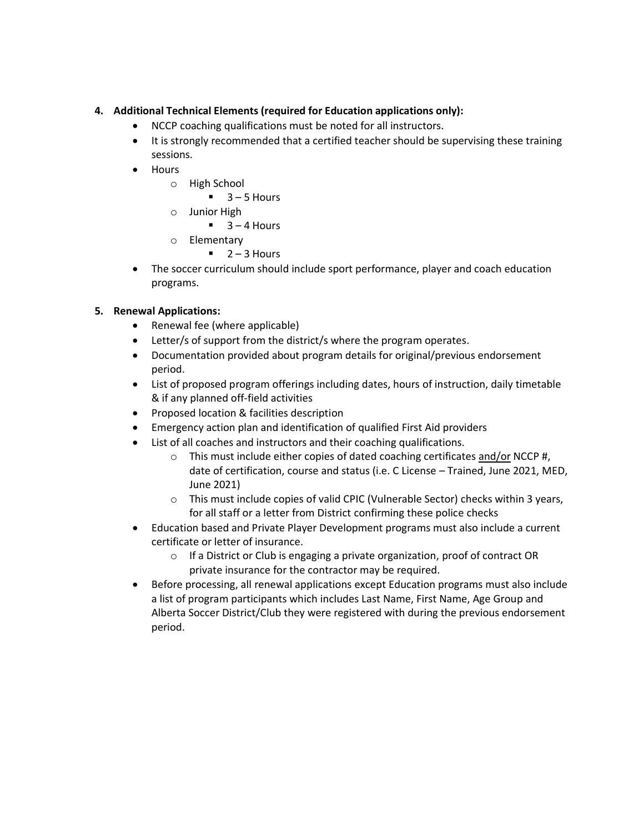#### **4. Additional Technical Elements (required for Education applications only):**

- NCCP coaching qualifications must be noted for all instructors.
- It is strongly recommended that a certified teacher should be supervising these training sessions.
- Hours
	- o High School

 $\blacksquare$  3 – 5 Hours

o Junior High

 $\blacksquare$  3 – 4 Hours

- o Elementary
	- $\blacksquare$  2 3 Hours
- The soccer curriculum should include sport performance, player and coach education programs.

# **5. Renewal Applications:**

- Renewal fee (where applicable)
- Letter/s of support from the district/s where the program operates.
- Documentation provided about program details for original/previous endorsement period.
- List of proposed program offerings including dates, hours of instruction, daily timetable & if any planned off-field activities
- Proposed location & facilities description
- Emergency action plan and identification of qualified First Aid providers
- List of all coaches and instructors and their coaching qualifications.
	- o This must include either copies of dated coaching certificates and/or NCCP #, date of certification, course and status (i.e. C License – Trained, June 2021, MED, June 2021)
	- $\circ$  This must include copies of valid CPIC (Vulnerable Sector) checks within 3 years, for all staff or a letter from District confirming these police checks
- Education based and Private Player Development programs must also include a current certificate or letter of insurance.
	- o If a District or Club is engaging a private organization, proof of contract OR private insurance for the contractor may be required.
- Before processing, all renewal applications except Education programs must also include a list of program participants which includes Last Name, First Name, Age Group and Alberta Soccer District/Club they were registered with during the previous endorsement period.